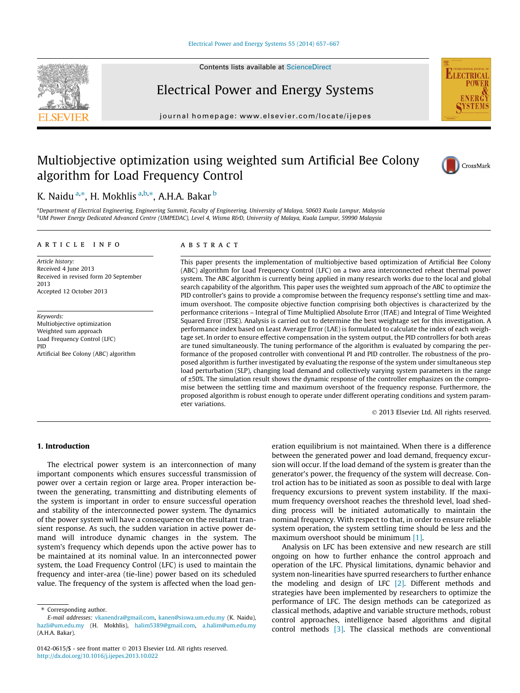#### [Electrical Power and Energy Systems 55 \(2014\) 657–667](http://dx.doi.org/10.1016/j.ijepes.2013.10.022)

Contents lists available at [ScienceDirect](http://www.sciencedirect.com/science/journal/01420615)



Electrical Power and Energy Systems

#### journal homepage: [www.elsevier.com/locate/ijepes](http://www.elsevier.com/locate/ijepes)

## Multiobjective optimization using weighted sum Artificial Bee Colony algorithm for Load Frequency Control



K. Naidu <sup>a,</sup>\*, H. Mokhlis <sup>a,b,</sup>\*, A.H.A. Bakar <sup>b</sup>

a Department of Electrical Engineering, Engineering Summit, Faculty of Engineering, University of Malaya, 50603 Kuala Lumpur, Malaysia <sup>b</sup>UM Power Energy Dedicated Advanced Centre (UMPEDAC), Level 4, Wisma R&D, University of Malaya, Kuala Lumpur, 59990 Malaysia

#### article info

Article history: Received 4 June 2013 Received in revised form 20 September 2013 Accepted 12 October 2013

Keywords: Multiobjective optimization Weighted sum approach Load Frequency Control (LFC) PID Artificial Bee Colony (ABC) algorithm

#### ABSTRACT

This paper presents the implementation of multiobjective based optimization of Artificial Bee Colony (ABC) algorithm for Load Frequency Control (LFC) on a two area interconnected reheat thermal power system. The ABC algorithm is currently being applied in many research works due to the local and global search capability of the algorithm. This paper uses the weighted sum approach of the ABC to optimize the PID controller's gains to provide a compromise between the frequency response's settling time and maximum overshoot. The composite objective function comprising both objectives is characterized by the performance criterions – Integral of Time Multiplied Absolute Error (ITAE) and Integral of Time Weighted Squared Error (ITSE). Analysis is carried out to determine the best weightage set for this investigation. A performance index based on Least Average Error (LAE) is formulated to calculate the index of each weightage set. In order to ensure effective compensation in the system output, the PID controllers for both areas are tuned simultaneously. The tuning performance of the algorithm is evaluated by comparing the performance of the proposed controller with conventional PI and PID controller. The robustness of the proposed algorithm is further investigated by evaluating the response of the system under simultaneous step load perturbation (SLP), changing load demand and collectively varying system parameters in the range of ±50%. The simulation result shows the dynamic response of the controller emphasizes on the compromise between the settling time and maximum overshoot of the frequency response. Furthermore, the proposed algorithm is robust enough to operate under different operating conditions and system parameter variations.

- 2013 Elsevier Ltd. All rights reserved.

### 1. Introduction

The electrical power system is an interconnection of many important components which ensures successful transmission of power over a certain region or large area. Proper interaction between the generating, transmitting and distributing elements of the system is important in order to ensure successful operation and stability of the interconnected power system. The dynamics of the power system will have a consequence on the resultant transient response. As such, the sudden variation in active power demand will introduce dynamic changes in the system. The system's frequency which depends upon the active power has to be maintained at its nominal value. In an interconnected power system, the Load Frequency Control (LFC) is used to maintain the frequency and inter-area (tie-line) power based on its scheduled value. The frequency of the system is affected when the load generation equilibrium is not maintained. When there is a difference between the generated power and load demand, frequency excursion will occur. If the load demand of the system is greater than the generator's power, the frequency of the system will decrease. Control action has to be initiated as soon as possible to deal with large frequency excursions to prevent system instability. If the maximum frequency overshoot reaches the threshold level, load shedding process will be initiated automatically to maintain the nominal frequency. With respect to that, in order to ensure reliable system operation, the system settling time should be less and the maximum overshoot should be minimum [\[1\].](#page--1-0)

Analysis on LFC has been extensive and new research are still ongoing on how to further enhance the control approach and operation of the LFC. Physical limitations, dynamic behavior and system non-linearities have spurred researchers to further enhance the modeling and design of LFC [\[2\]](#page--1-0). Different methods and strategies have been implemented by researchers to optimize the performance of LFC. The design methods can be categorized as classical methods, adaptive and variable structure methods, robust control approaches, intelligence based algorithms and digital control methods [\[3\].](#page--1-0) The classical methods are conventional

<sup>⇑</sup> Corresponding author.

E-mail addresses: [vkanendra@gmail.com](mailto:vkanendra@gmail.com), [kanen@siswa.um.edu.my](mailto:kanen@siswa.um.edu.my) (K. Naidu), [hazli@um.edu.my](mailto:hazli@um.edu.my) (H. Mokhlis), [halim5389@gmail.com,](mailto:halim5389@gmail.com) [a.halim@um.edu.my](mailto:a.halim@um.edu.my) (A.H.A. Bakar).

<sup>0142-0615/\$ -</sup> see front matter © 2013 Elsevier Ltd. All rights reserved. <http://dx.doi.org/10.1016/j.ijepes.2013.10.022>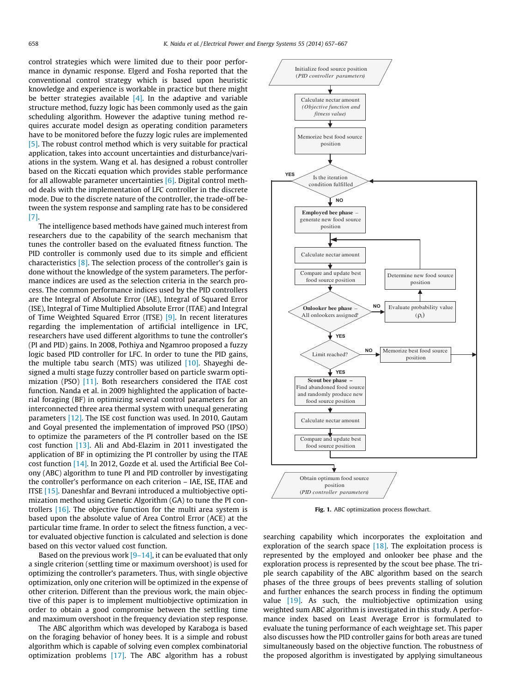control strategies which were limited due to their poor performance in dynamic response. Elgerd and Fosha reported that the conventional control strategy which is based upon heuristic knowledge and experience is workable in practice but there might be better strategies available  $[4]$ . In the adaptive and variable structure method, fuzzy logic has been commonly used as the gain scheduling algorithm. However the adaptive tuning method requires accurate model design as operating condition parameters have to be monitored before the fuzzy logic rules are implemented [\[5\]](#page--1-0). The robust control method which is very suitable for practical application, takes into account uncertainties and disturbance/variations in the system. Wang et al. has designed a robust controller based on the Riccati equation which provides stable performance for all allowable parameter uncertainties [\[6\].](#page--1-0) Digital control method deals with the implementation of LFC controller in the discrete mode. Due to the discrete nature of the controller, the trade-off between the system response and sampling rate has to be considered [\[7\]](#page--1-0).

The intelligence based methods have gained much interest from researchers due to the capability of the search mechanism that tunes the controller based on the evaluated fitness function. The PID controller is commonly used due to its simple and efficient characteristics  $[8]$ . The selection process of the controller's gain is done without the knowledge of the system parameters. The performance indices are used as the selection criteria in the search process. The common performance indices used by the PID controllers are the Integral of Absolute Error (IAE), Integral of Squared Error (ISE), Integral of Time Multiplied Absolute Error (ITAE) and Integral of Time Weighted Squared Error (ITSE) [\[9\]](#page--1-0). In recent literatures regarding the implementation of artificial intelligence in LFC, researchers have used different algorithms to tune the controller's (PI and PID) gains. In 2008, Pothiya and Ngamroo proposed a fuzzy logic based PID controller for LFC. In order to tune the PID gains, the multiple tabu search (MTS) was utilized  $[10]$ . Shayeghi designed a multi stage fuzzy controller based on particle swarm optimization (PSO) [\[11\].](#page--1-0) Both researchers considered the ITAE cost function. Nanda et al. in 2009 highlighted the application of bacterial foraging (BF) in optimizing several control parameters for an interconnected three area thermal system with unequal generating parameters [\[12\].](#page--1-0) The ISE cost function was used. In 2010, Gautam and Goyal presented the implementation of improved PSO (IPSO) to optimize the parameters of the PI controller based on the ISE cost function [\[13\].](#page--1-0) Ali and Abd-Elazim in 2011 investigated the application of BF in optimizing the PI controller by using the ITAE cost function [\[14\].](#page--1-0) In 2012, Gozde et al. used the Artificial Bee Colony (ABC) algorithm to tune PI and PID controller by investigating the controller's performance on each criterion – IAE, ISE, ITAE and ITSE [\[15\].](#page--1-0) Daneshfar and Bevrani introduced a multiobjective optimization method using Genetic Algorithm (GA) to tune the PI controllers [\[16\].](#page--1-0) The objective function for the multi area system is based upon the absolute value of Area Control Error (ACE) at the particular time frame. In order to select the fitness function, a vector evaluated objective function is calculated and selection is done based on this vector valued cost function.

Based on the previous work  $[9-14]$ , it can be evaluated that only a single criterion (settling time or maximum overshoot) is used for optimizing the controller's parameters. Thus, with single objective optimization, only one criterion will be optimized in the expense of other criterion. Different than the previous work, the main objective of this paper is to implement multiobjective optimization in order to obtain a good compromise between the settling time and maximum overshoot in the frequency deviation step response.

The ABC algorithm which was developed by Karaboga is based on the foraging behavior of honey bees. It is a simple and robust algorithm which is capable of solving even complex combinatorial optimization problems [\[17\].](#page--1-0) The ABC algorithm has a robust



Fig. 1. ABC optimization process flowchart.

searching capability which incorporates the exploitation and exploration of the search space  $[18]$ . The exploitation process is represented by the employed and onlooker bee phase and the exploration process is represented by the scout bee phase. The triple search capability of the ABC algorithm based on the search phases of the three groups of bees prevents stalling of solution and further enhances the search process in finding the optimum value [\[19\].](#page--1-0) As such, the multiobjective optimization using weighted sum ABC algorithm is investigated in this study. A performance index based on Least Average Error is formulated to evaluate the tuning performance of each weightage set. This paper also discusses how the PID controller gains for both areas are tuned simultaneously based on the objective function. The robustness of the proposed algorithm is investigated by applying simultaneous